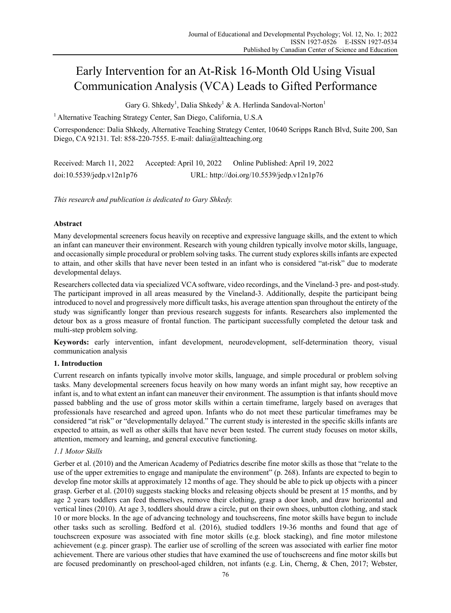# Early Intervention for an At-Risk 16-Month Old Using Visual Communication Analysis (VCA) Leads to Gifted Performance

Gary G. Shkedy<sup>1</sup>, Dalia Shkedy<sup>1</sup> & A. Herlinda Sandoval-Norton<sup>1</sup>

1 Alternative Teaching Strategy Center, San Diego, California, U.S.A

Correspondence: Dalia Shkedy, Alternative Teaching Strategy Center, 10640 Scripps Ranch Blvd, Suite 200, San Diego, CA 92131. Tel: 858-220-7555. E-mail: dalia@altteaching.org

Received: March 11, 2022 Accepted: April 10, 2022 Online Published: April 19, 2022 doi:10.5539/jedp.v12n1p76 URL: http://doi.org/10.5539/jedp.v12n1p76

*This research and publication is dedicated to Gary Shkedy.* 

# **Abstract**

Many developmental screeners focus heavily on receptive and expressive language skills, and the extent to which an infant can maneuver their environment. Research with young children typically involve motor skills, language, and occasionally simple procedural or problem solving tasks. The current study explores skills infants are expected to attain, and other skills that have never been tested in an infant who is considered "at-risk" due to moderate developmental delays.

Researchers collected data via specialized VCA software, video recordings, and the Vineland-3 pre- and post-study. The participant improved in all areas measured by the Vineland-3. Additionally, despite the participant being introduced to novel and progressively more difficult tasks, his average attention span throughout the entirety of the study was significantly longer than previous research suggests for infants. Researchers also implemented the detour box as a gross measure of frontal function. The participant successfully completed the detour task and multi-step problem solving.

**Keywords:** early intervention, infant development, neurodevelopment, self-determination theory, visual communication analysis

# **1. Introduction**

Current research on infants typically involve motor skills, language, and simple procedural or problem solving tasks. Many developmental screeners focus heavily on how many words an infant might say, how receptive an infant is, and to what extent an infant can maneuver their environment. The assumption is that infants should move passed babbling and the use of gross motor skills within a certain timeframe, largely based on averages that professionals have researched and agreed upon. Infants who do not meet these particular timeframes may be considered "at risk" or "developmentally delayed." The current study is interested in the specific skills infants are expected to attain, as well as other skills that have never been tested. The current study focuses on motor skills, attention, memory and learning, and general executive functioning.

# *1.1 Motor Skills*

Gerber et al. (2010) and the American Academy of Pediatrics describe fine motor skills as those that "relate to the use of the upper extremities to engage and manipulate the environment" (p. 268). Infants are expected to begin to develop fine motor skills at approximately 12 months of age. They should be able to pick up objects with a pincer grasp. Gerber et al. (2010) suggests stacking blocks and releasing objects should be present at 15 months, and by age 2 years toddlers can feed themselves, remove their clothing, grasp a door knob, and draw horizontal and vertical lines (2010). At age 3, toddlers should draw a circle, put on their own shoes, unbutton clothing, and stack 10 or more blocks. In the age of advancing technology and touchscreens, fine motor skills have begun to include other tasks such as scrolling. Bedford et al. (2016), studied toddlers 19-36 months and found that age of touchscreen exposure was associated with fine motor skills (e.g. block stacking), and fine motor milestone achievement (e.g. pincer grasp). The earlier use of scrolling of the screen was associated with earlier fine motor achievement. There are various other studies that have examined the use of touchscreens and fine motor skills but are focused predominantly on preschool-aged children, not infants (e.g. Lin, Cherng, & Chen, 2017; Webster,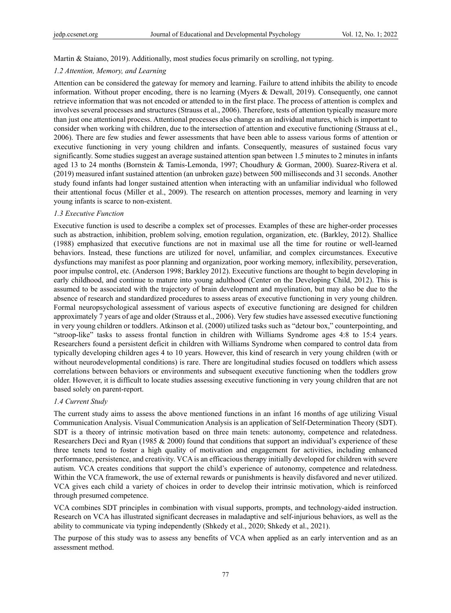Martin & Staiano, 2019). Additionally, most studies focus primarily on scrolling, not typing.

#### *1.2 Attention, Memory, and Learning*

Attention can be considered the gateway for memory and learning. Failure to attend inhibits the ability to encode information. Without proper encoding, there is no learning (Myers & Dewall, 2019). Consequently, one cannot retrieve information that was not encoded or attended to in the first place. The process of attention is complex and involves several processes and structures (Strauss et al., 2006). Therefore, tests of attention typically measure more than just one attentional process. Attentional processes also change as an individual matures, which is important to consider when working with children, due to the intersection of attention and executive functioning (Strauss at el., 2006). There are few studies and fewer assessments that have been able to assess various forms of attention or executive functioning in very young children and infants. Consequently, measures of sustained focus vary significantly. Some studies suggest an average sustained attention span between 1.5 minutes to 2 minutes in infants aged 13 to 24 months (Bornstein & Tamis-Lemonda, 1997; Choudhury & Gorman, 2000). Suarez-Rivera et al. (2019) measured infant sustained attention (an unbroken gaze) between 500 milliseconds and 31 seconds. Another study found infants had longer sustained attention when interacting with an unfamiliar individual who followed their attentional focus (Miller et al., 2009). The research on attention processes, memory and learning in very young infants is scarce to non-existent.

#### *1.3 Executive Function*

Executive function is used to describe a complex set of processes. Examples of these are higher-order processes such as abstraction, inhibition, problem solving, emotion regulation, organization, etc. (Barkley, 2012). Shallice (1988) emphasized that executive functions are not in maximal use all the time for routine or well-learned behaviors. Instead, these functions are utilized for novel, unfamiliar, and complex circumstances. Executive dysfunctions may manifest as poor planning and organization, poor working memory, inflexibility, perseveration, poor impulse control, etc. (Anderson 1998; Barkley 2012). Executive functions are thought to begin developing in early childhood, and continue to mature into young adulthood (Center on the Developing Child, 2012). This is assumed to be associated with the trajectory of brain development and myelination, but may also be due to the absence of research and standardized procedures to assess areas of executive functioning in very young children. Formal neuropsychological assessment of various aspects of executive functioning are designed for children approximately 7 years of age and older (Strauss et al., 2006). Very few studies have assessed executive functioning in very young children or toddlers. Atkinson et al. (2000) utilized tasks such as "detour box," counterpointing, and "stroop-like" tasks to assess frontal function in children with Williams Syndrome ages 4:8 to 15:4 years. Researchers found a persistent deficit in children with Williams Syndrome when compared to control data from typically developing children ages 4 to 10 years. However, this kind of research in very young children (with or without neurodevelopmental conditions) is rare. There are longitudinal studies focused on toddlers which assess correlations between behaviors or environments and subsequent executive functioning when the toddlers grow older. However, it is difficult to locate studies assessing executive functioning in very young children that are not based solely on parent-report.

#### *1.4 Current Study*

The current study aims to assess the above mentioned functions in an infant 16 months of age utilizing Visual Communication Analysis. Visual Communication Analysis is an application of Self-Determination Theory (SDT). SDT is a theory of intrinsic motivation based on three main tenets: autonomy, competence and relatedness. Researchers Deci and Ryan (1985 & 2000) found that conditions that support an individual's experience of these three tenets tend to foster a high quality of motivation and engagement for activities, including enhanced performance, persistence, and creativity. VCA is an efficacious therapy initially developed for children with severe autism. VCA creates conditions that support the child's experience of autonomy, competence and relatedness. Within the VCA framework, the use of external rewards or punishments is heavily disfavored and never utilized. VCA gives each child a variety of choices in order to develop their intrinsic motivation, which is reinforced through presumed competence.

VCA combines SDT principles in combination with visual supports, prompts, and technology-aided instruction. Research on VCA has illustrated significant decreases in maladaptive and self-injurious behaviors, as well as the ability to communicate via typing independently (Shkedy et al., 2020; Shkedy et al., 2021).

The purpose of this study was to assess any benefits of VCA when applied as an early intervention and as an assessment method.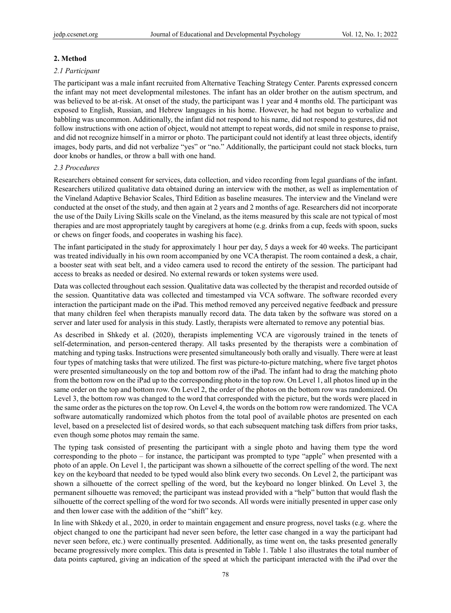#### **2. Method**

#### *2.1 Participant*

The participant was a male infant recruited from Alternative Teaching Strategy Center. Parents expressed concern the infant may not meet developmental milestones. The infant has an older brother on the autism spectrum, and was believed to be at-risk. At onset of the study, the participant was 1 year and 4 months old. The participant was exposed to English, Russian, and Hebrew languages in his home. However, he had not begun to verbalize and babbling was uncommon. Additionally, the infant did not respond to his name, did not respond to gestures, did not follow instructions with one action of object, would not attempt to repeat words, did not smile in response to praise, and did not recognize himself in a mirror or photo. The participant could not identify at least three objects, identify images, body parts, and did not verbalize "yes" or "no." Additionally, the participant could not stack blocks, turn door knobs or handles, or throw a ball with one hand.

#### *2.3 Procedures*

Researchers obtained consent for services, data collection, and video recording from legal guardians of the infant. Researchers utilized qualitative data obtained during an interview with the mother, as well as implementation of the Vineland Adaptive Behavior Scales, Third Edition as baseline measures. The interview and the Vineland were conducted at the onset of the study, and then again at 2 years and 2 months of age. Researchers did not incorporate the use of the Daily Living Skills scale on the Vineland, as the items measured by this scale are not typical of most therapies and are most appropriately taught by caregivers at home (e.g. drinks from a cup, feeds with spoon, sucks or chews on finger foods, and cooperates in washing his face).

The infant participated in the study for approximately 1 hour per day, 5 days a week for 40 weeks. The participant was treated individually in his own room accompanied by one VCA therapist. The room contained a desk, a chair, a booster seat with seat belt, and a video camera used to record the entirety of the session. The participant had access to breaks as needed or desired. No external rewards or token systems were used.

Data was collected throughout each session. Qualitative data was collected by the therapist and recorded outside of the session. Quantitative data was collected and timestamped via VCA software. The software recorded every interaction the participant made on the iPad. This method removed any perceived negative feedback and pressure that many children feel when therapists manually record data. The data taken by the software was stored on a server and later used for analysis in this study. Lastly, therapists were alternated to remove any potential bias.

As described in Shkedy et al. (2020), therapists implementing VCA are vigorously trained in the tenets of self-determination, and person-centered therapy. All tasks presented by the therapists were a combination of matching and typing tasks. Instructions were presented simultaneously both orally and visually. There were at least four types of matching tasks that were utilized. The first was picture-to-picture matching, where five target photos were presented simultaneously on the top and bottom row of the iPad. The infant had to drag the matching photo from the bottom row on the iPad up to the corresponding photo in the top row. On Level 1, all photos lined up in the same order on the top and bottom row. On Level 2, the order of the photos on the bottom row was randomized. On Level 3, the bottom row was changed to the word that corresponded with the picture, but the words were placed in the same order as the pictures on the top row. On Level 4, the words on the bottom row were randomized. The VCA software automatically randomized which photos from the total pool of available photos are presented on each level, based on a preselected list of desired words, so that each subsequent matching task differs from prior tasks, even though some photos may remain the same.

The typing task consisted of presenting the participant with a single photo and having them type the word corresponding to the photo – for instance, the participant was prompted to type "apple" when presented with a photo of an apple. On Level 1, the participant was shown a silhouette of the correct spelling of the word. The next key on the keyboard that needed to be typed would also blink every two seconds. On Level 2, the participant was shown a silhouette of the correct spelling of the word, but the keyboard no longer blinked. On Level 3, the permanent silhouette was removed; the participant was instead provided with a "help" button that would flash the silhouette of the correct spelling of the word for two seconds. All words were initially presented in upper case only and then lower case with the addition of the "shift" key.

In line with Shkedy et al., 2020, in order to maintain engagement and ensure progress, novel tasks (e.g. where the object changed to one the participant had never seen before, the letter case changed in a way the participant had never seen before, etc.) were continually presented. Additionally, as time went on, the tasks presented generally became progressively more complex. This data is presented in Table 1. Table 1 also illustrates the total number of data points captured, giving an indication of the speed at which the participant interacted with the iPad over the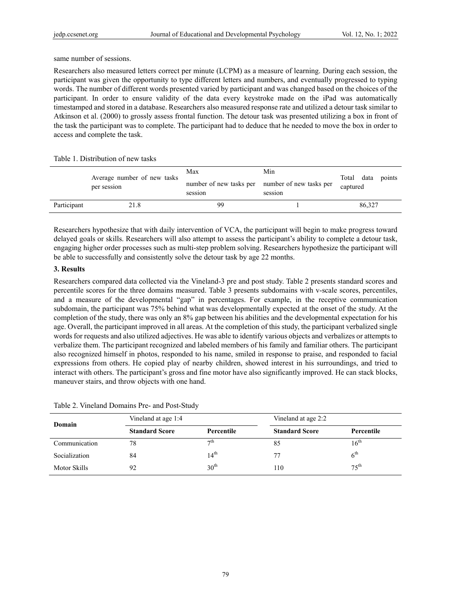same number of sessions.

Researchers also measured letters correct per minute (LCPM) as a measure of learning. During each session, the participant was given the opportunity to type different letters and numbers, and eventually progressed to typing words. The number of different words presented varied by participant and was changed based on the choices of the participant. In order to ensure validity of the data every keystroke made on the iPad was automatically timestamped and stored in a database. Researchers also measured response rate and utilized a detour task similar to Atkinson et al. (2000) to grossly assess frontal function. The detour task was presented utilizing a box in front of the task the participant was to complete. The participant had to deduce that he needed to move the box in order to access and complete the task.

Table 1. Distribution of new tasks

|             | Average number of new tasks<br>per session | Max<br>number of new tasks per number of new tasks per<br>session | Min<br>session | data<br>Total<br>captured | points |
|-------------|--------------------------------------------|-------------------------------------------------------------------|----------------|---------------------------|--------|
| Participant | 21.8                                       | 99                                                                |                | 86,327                    |        |

Researchers hypothesize that with daily intervention of VCA, the participant will begin to make progress toward delayed goals or skills. Researchers will also attempt to assess the participant's ability to complete a detour task, engaging higher order processes such as multi-step problem solving. Researchers hypothesize the participant will be able to successfully and consistently solve the detour task by age 22 months.

### **3. Results**

Researchers compared data collected via the Vineland-3 pre and post study. Table 2 presents standard scores and percentile scores for the three domains measured. Table 3 presents subdomains with v-scale scores, percentiles, and a measure of the developmental "gap" in percentages. For example, in the receptive communication subdomain, the participant was 75% behind what was developmentally expected at the onset of the study. At the completion of the study, there was only an 8% gap between his abilities and the developmental expectation for his age. Overall, the participant improved in all areas. At the completion of this study, the participant verbalized single words for requests and also utilized adjectives. He was able to identify various objects and verbalizes or attempts to verbalize them. The participant recognized and labeled members of his family and familiar others. The participant also recognized himself in photos, responded to his name, smiled in response to praise, and responded to facial expressions from others. He copied play of nearby children, showed interest in his surroundings, and tried to interact with others. The participant's gross and fine motor have also significantly improved. He can stack blocks, maneuver stairs, and throw objects with one hand.

| Domain        | Vineland at age 1:4   |                      | Vineland at age 2:2   |                  |
|---------------|-----------------------|----------------------|-----------------------|------------------|
|               | <b>Standard Score</b> | Percentile           | <b>Standard Score</b> | Percentile       |
| Communication | 78                    | $\tau$ <sup>th</sup> | 85                    | $16^{\text{th}}$ |
| Socialization | 84                    | $14^{\text{th}}$     | 77                    | 6 <sup>th</sup>  |
| Motor Skills  | 92                    | 30 <sup>th</sup>     | 110                   | 75 <sup>th</sup> |

| Table 2. Vineland Domains Pre- and Post-Study |
|-----------------------------------------------|
|-----------------------------------------------|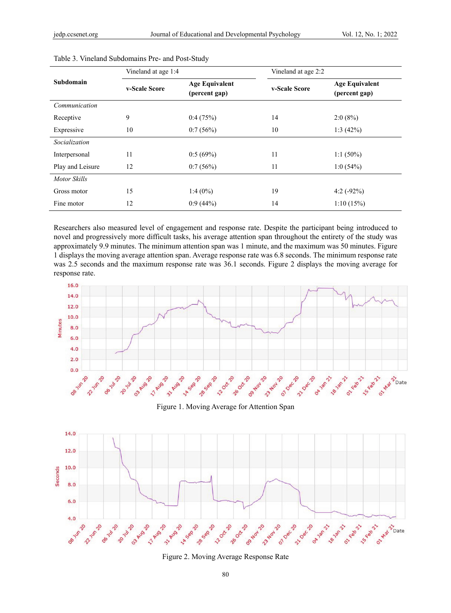|                  | Vineland at age 1:4 |                                        | Vineland at age 2:2 |                                        |
|------------------|---------------------|----------------------------------------|---------------------|----------------------------------------|
| Subdomain        | v-Scale Score       | <b>Age Equivalent</b><br>(percent gap) | v-Scale Score       | <b>Age Equivalent</b><br>(percent gap) |
| Communication    |                     |                                        |                     |                                        |
| Receptive        | 9                   | 0.4(75%)                               | 14                  | $2:0(8\%)$                             |
| Expressive       | 10                  | 0:7(56%)                               | 10                  | 1:3(42%)                               |
| Socialization    |                     |                                        |                     |                                        |
| Interpersonal    | 11                  | 0.5(69%)                               | 11                  | $1:1(50\%)$                            |
| Play and Leisure | 12                  | 0:7(56%)                               | 11                  | 1:0(54%)                               |
| Motor Skills     |                     |                                        |                     |                                        |
| Gross motor      | 15                  | $1:4(0\%)$                             | 19                  | 4:2 $(-92%)$                           |
| Fine motor       | 12                  | $0.9(44\%)$                            | 14                  | 1:10(15%)                              |

| Table 3. Vineland Subdomains Pre- and Post-Study |
|--------------------------------------------------|
|--------------------------------------------------|

Researchers also measured level of engagement and response rate. Despite the participant being introduced to novel and progressively more difficult tasks, his average attention span throughout the entirety of the study was approximately 9.9 minutes. The minimum attention span was 1 minute, and the maximum was 50 minutes. Figure 1 displays the moving average attention span. Average response rate was 6.8 seconds. The minimum response rate was 2.5 seconds and the maximum response rate was 36.1 seconds. Figure 2 displays the moving average for response rate.



Figure 1. Moving Average for Attention Span



Figure 2. Moving Average Response Rate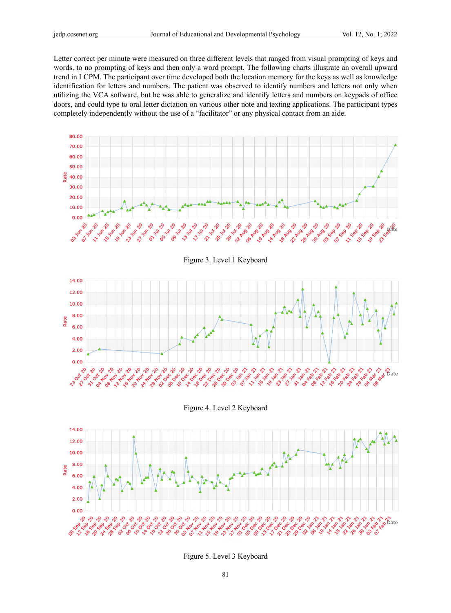Letter correct per minute were measured on three different levels that ranged from visual prompting of keys and words, to no prompting of keys and then only a word prompt. The following charts illustrate an overall upward trend in LCPM. The participant over time developed both the location memory for the keys as well as knowledge identification for letters and numbers. The patient was observed to identify numbers and letters not only when utilizing the VCA software, but he was able to generalize and identify letters and numbers on keypads of office doors, and could type to oral letter dictation on various other note and texting applications. The participant types completely independently without the use of a "facilitator" or any physical contact from an aide.



#### Figure 4. Level 2 Keyboard



Figure 5. Level 3 Keyboard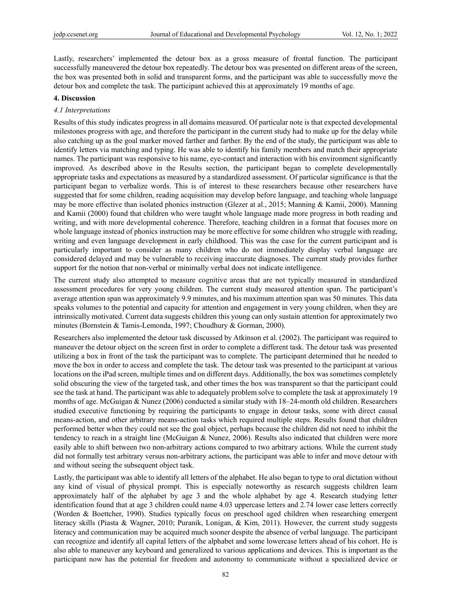Lastly, researchers' implemented the detour box as a gross measure of frontal function. The participant successfully maneuvered the detour box repeatedly. The detour box was presented on different areas of the screen, the box was presented both in solid and transparent forms, and the participant was able to successfully move the detour box and complete the task. The participant achieved this at approximately 19 months of age.

#### **4. Discussion**

#### *4.1 Interpretations*

Results of this study indicates progress in all domains measured. Of particular note is that expected developmental milestones progress with age, and therefore the participant in the current study had to make up for the delay while also catching up as the goal marker moved farther and farther. By the end of the study, the participant was able to identify letters via matching and typing. He was able to identify his family members and match their appropriate names. The participant was responsive to his name, eye-contact and interaction with his environment significantly improved. As described above in the Results section, the participant began to complete developmentally appropriate tasks and expectations as measured by a standardized assessment. Of particular significance is that the participant began to verbalize words. This is of interest to these researchers because other researchers have suggested that for some children, reading acquisition may develop before language, and teaching whole language may be more effective than isolated phonics instruction (Glezer at al., 2015; Manning & Kamii, 2000). Manning and Kamii (2000) found that children who were taught whole language made more progress in both reading and writing, and with more developmental coherence. Therefore, teaching children in a format that focuses more on whole language instead of phonics instruction may be more effective for some children who struggle with reading, writing and even language development in early childhood. This was the case for the current participant and is particularly important to consider as many children who do not immediately display verbal language are considered delayed and may be vulnerable to receiving inaccurate diagnoses. The current study provides further support for the notion that non-verbal or minimally verbal does not indicate intelligence.

The current study also attempted to measure cognitive areas that are not typically measured in standardized assessment procedures for very young children. The current study measured attention span. The participant's average attention span was approximately 9.9 minutes, and his maximum attention span was 50 minutes. This data speaks volumes to the potential and capacity for attention and engagement in very young children, when they are intrinsically motivated. Current data suggests children this young can only sustain attention for approximately two minutes (Bornstein & Tamis-Lemonda, 1997; Choudhury & Gorman, 2000).

Researchers also implemented the detour task discussed by Atkinson et al. (2002). The participant was required to maneuver the detour object on the screen first in order to complete a different task. The detour task was presented utilizing a box in front of the task the participant was to complete. The participant determined that he needed to move the box in order to access and complete the task. The detour task was presented to the participant at various locations on the iPad screen, multiple times and on different days. Additionally, the box was sometimes completely solid obscuring the view of the targeted task, and other times the box was transparent so that the participant could see the task at hand. The participant was able to adequately problem solve to complete the task at approximately 19 months of age. McGuigan & Nunez (2006) conducted a similar study with 18–24-month old children. Researchers studied executive functioning by requiring the participants to engage in detour tasks, some with direct causal means-action, and other arbitrary means-action tasks which required multiple steps. Results found that children performed better when they could not see the goal object, perhaps because the children did not need to inhibit the tendency to reach in a straight line (McGuigan & Nunez, 2006). Results also indicated that children were more easily able to shift between two non-arbitrary actions compared to two arbitrary actions. While the current study did not formally test arbitrary versus non-arbitrary actions, the participant was able to infer and move detour with and without seeing the subsequent object task.

Lastly, the participant was able to identify all letters of the alphabet. He also began to type to oral dictation without any kind of visual of physical prompt. This is especially noteworthy as research suggests children learn approximately half of the alphabet by age 3 and the whole alphabet by age 4. Research studying letter identification found that at age 3 children could name 4.03 uppercase letters and 2.74 lower case letters correctly (Worden & Boettcher, 1990). Studies typically focus on preschool aged children when researching emergent literacy skills (Piasta & Wagner, 2010; Puranik, Lonigan, & Kim, 2011). However, the current study suggests literacy and communication may be acquired much sooner despite the absence of verbal language. The participant can recognize and identify all capital letters of the alphabet and some lowercase letters ahead of his cohort. He is also able to maneuver any keyboard and generalized to various applications and devices. This is important as the participant now has the potential for freedom and autonomy to communicate without a specialized device or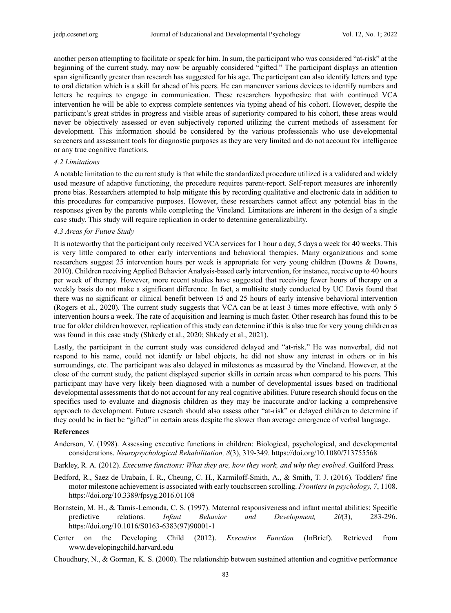another person attempting to facilitate or speak for him. In sum, the participant who was considered "at-risk" at the beginning of the current study, may now be arguably considered "gifted." The participant displays an attention span significantly greater than research has suggested for his age. The participant can also identify letters and type to oral dictation which is a skill far ahead of his peers. He can maneuver various devices to identify numbers and letters he requires to engage in communication. These researchers hypothesize that with continued VCA intervention he will be able to express complete sentences via typing ahead of his cohort. However, despite the participant's great strides in progress and visible areas of superiority compared to his cohort, these areas would never be objectively assessed or even subjectively reported utilizing the current methods of assessment for development. This information should be considered by the various professionals who use developmental screeners and assessment tools for diagnostic purposes as they are very limited and do not account for intelligence or any true cognitive functions.

#### *4.2 Limitations*

A notable limitation to the current study is that while the standardized procedure utilized is a validated and widely used measure of adaptive functioning, the procedure requires parent-report. Self-report measures are inherently prone bias. Researchers attempted to help mitigate this by recording qualitative and electronic data in addition to this procedures for comparative purposes. However, these researchers cannot affect any potential bias in the responses given by the parents while completing the Vineland. Limitations are inherent in the design of a single case study. This study will require replication in order to determine generalizability.

#### *4.3 Areas for Future Study*

It is noteworthy that the participant only received VCA services for 1 hour a day, 5 days a week for 40 weeks. This is very little compared to other early interventions and behavioral therapies. Many organizations and some researchers suggest 25 intervention hours per week is appropriate for very young children (Downs & Downs, 2010). Children receiving Applied Behavior Analysis-based early intervention, for instance, receive up to 40 hours per week of therapy. However, more recent studies have suggested that receiving fewer hours of therapy on a weekly basis do not make a significant difference. In fact, a multisite study conducted by UC Davis found that there was no significant or clinical benefit between 15 and 25 hours of early intensive behavioral intervention (Rogers et al., 2020). The current study suggests that VCA can be at least 3 times more effective, with only 5 intervention hours a week. The rate of acquisition and learning is much faster. Other research has found this to be true for older children however, replication of this study can determine if this is also true for very young children as was found in this case study (Shkedy et al., 2020; Shkedy et al., 2021).

Lastly, the participant in the current study was considered delayed and "at-risk." He was nonverbal, did not respond to his name, could not identify or label objects, he did not show any interest in others or in his surroundings, etc. The participant was also delayed in milestones as measured by the Vineland. However, at the close of the current study, the patient displayed superior skills in certain areas when compared to his peers. This participant may have very likely been diagnosed with a number of developmental issues based on traditional developmental assessments that do not account for any real cognitive abilities. Future research should focus on the specifics used to evaluate and diagnosis children as they may be inaccurate and/or lacking a comprehensive approach to development. Future research should also assess other "at-risk" or delayed children to determine if they could be in fact be "gifted" in certain areas despite the slower than average emergence of verbal language.

# **References**

- Anderson, V. (1998). Assessing executive functions in children: Biological, psychological, and developmental considerations. *Neuropsychological Rehabilitation, 8*(3), 319-349. https://doi.org/10.1080/713755568
- Barkley, R. A. (2012). *Executive functions: What they are, how they work, and why they evolved*. Guilford Press.
- Bedford, R., Saez de Urabain, I. R., Cheung, C. H., Karmiloff-Smith, A., & Smith, T. J. (2016). Toddlers' fine motor milestone achievement is associated with early touchscreen scrolling. *Frontiers in psychology, 7*, 1108. https://doi.org/10.3389/fpsyg.2016.01108
- Bornstein, M. H., & Tamis-Lemonda, C. S. (1997). Maternal responsiveness and infant mental abilities: Specific predictive relations. *Infant Behavior and Development, 20*(3), 283-296. https://doi.org/10.1016/S0163-6383(97)90001-1
- Center on the Developing Child (2012). *Executive Function* (InBrief). Retrieved from www.developingchild.harvard.edu
- Choudhury, N., & Gorman, K. S. (2000). The relationship between sustained attention and cognitive performance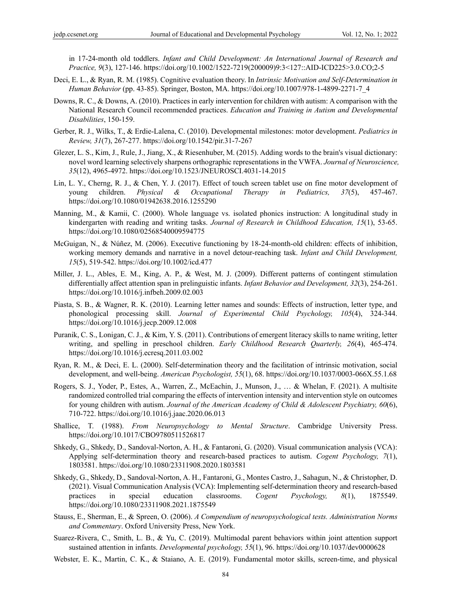in 17-24‐month old toddlers. *Infant and Child Development: An International Journal of Research and Practice, 9*(3), 127-146. https://doi.org/10.1002/1522-7219(200009)9:3<127::AID-ICD225>3.0.CO;2-5

- Deci, E. L., & Ryan, R. M. (1985). Cognitive evaluation theory. In *Intrinsic Motivation and Self-Determination in Human Behavior* (pp. 43-85). Springer, Boston, MA. https://doi.org/10.1007/978-1-4899-2271-7\_4
- Downs, R. C., & Downs, A. (2010). Practices in early intervention for children with autism: A comparison with the National Research Council recommended practices. *Education and Training in Autism and Developmental Disabilities*, 150-159.
- Gerber, R. J., Wilks, T., & Erdie-Lalena, C. (2010). Developmental milestones: motor development. *Pediatrics in Review, 31*(7), 267-277. https://doi.org/10.1542/pir.31-7-267
- Glezer, L. S., Kim, J., Rule, J., Jiang, X., & Riesenhuber, M. (2015). Adding words to the brain's visual dictionary: novel word learning selectively sharpens orthographic representations in the VWFA. *Journal of Neuroscience, 35*(12), 4965-4972. https://doi.org/10.1523/JNEUROSCI.4031-14.2015
- Lin, L. Y., Cherng, R. J., & Chen, Y. J. (2017). Effect of touch screen tablet use on fine motor development of young children. *Physical & Occupational Therapy in Pediatrics, 37*(5), 457-467. https://doi.org/10.1080/01942638.2016.1255290
- Manning, M., & Kamii, C. (2000). Whole language vs. isolated phonics instruction: A longitudinal study in kindergarten with reading and writing tasks. *Journal of Research in Childhood Education, 15*(1), 53-65. https://doi.org/10.1080/02568540009594775
- McGuigan, N., & Núñez, M. (2006). Executive functioning by 18‐24‐month‐old children: effects of inhibition, working memory demands and narrative in a novel detour‐reaching task. *Infant and Child Development, 15*(5), 519-542. https://doi.org/10.1002/icd.477
- Miller, J. L., Ables, E. M., King, A. P., & West, M. J. (2009). Different patterns of contingent stimulation differentially affect attention span in prelinguistic infants. *Infant Behavior and Development, 32*(3), 254-261. https://doi.org/10.1016/j.infbeh.2009.02.003
- Piasta, S. B., & Wagner, R. K. (2010). Learning letter names and sounds: Effects of instruction, letter type, and phonological processing skill. *Journal of Experimental Child Psychology, 105*(4), 324-344. https://doi.org/10.1016/j.jecp.2009.12.008
- Puranik, C. S., Lonigan, C. J., & Kim, Y. S. (2011). Contributions of emergent literacy skills to name writing, letter writing, and spelling in preschool children. *Early Childhood Research Quarterly, 26*(4), 465-474. https://doi.org/10.1016/j.ecresq.2011.03.002
- Ryan, R. M., & Deci, E. L. (2000). Self-determination theory and the facilitation of intrinsic motivation, social development, and well-being. *American Psychologist, 55*(1), 68. https://doi.org/10.1037/0003-066X.55.1.68
- Rogers, S. J., Yoder, P., Estes, A., Warren, Z., McEachin, J., Munson, J., … & Whelan, F. (2021). A multisite randomized controlled trial comparing the effects of intervention intensity and intervention style on outcomes for young children with autism. *Journal of the American Academy of Child & Adolescent Psychiatry, 60*(6), 710-722. https://doi.org/10.1016/j.jaac.2020.06.013
- Shallice, T. (1988). *From Neuropsychology to Mental Structure*. Cambridge University Press. https://doi.org/10.1017/CBO9780511526817
- Shkedy, G., Shkedy, D., Sandoval-Norton, A. H., & Fantaroni, G. (2020). Visual communication analysis (VCA): Applying self-determination theory and research-based practices to autism. *Cogent Psychology, 7*(1), 1803581. https://doi.org/10.1080/23311908.2020.1803581
- Shkedy, G., Shkedy, D., Sandoval-Norton, A. H., Fantaroni, G., Montes Castro, J., Sahagun, N., & Christopher, D. (2021). Visual Communication Analysis (VCA): Implementing self-determination theory and research-based practices in special education classrooms. *Cogent Psychology, 8*(1), 1875549. https://doi.org/10.1080/23311908.2021.1875549
- Stauss, E., Sherman, E., & Spreen, O. (2006). *A Compendium of neuropsychological tests. Administration Norms and Commentary*. Oxford University Press, New York.
- Suarez-Rivera, C., Smith, L. B., & Yu, C. (2019). Multimodal parent behaviors within joint attention support sustained attention in infants. *Developmental psychology, 55*(1), 96. https://doi.org/10.1037/dev0000628
- Webster, E. K., Martin, C. K., & Staiano, A. E. (2019). Fundamental motor skills, screen-time, and physical